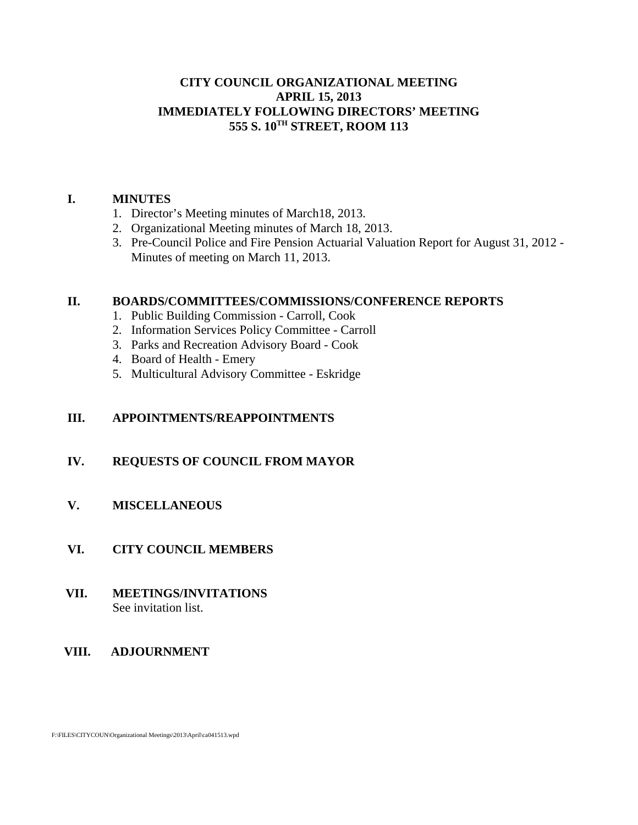### **CITY COUNCIL ORGANIZATIONAL MEETING APRIL 15, 2013 IMMEDIATELY FOLLOWING DIRECTORS' MEETING 555 S. 10TH STREET, ROOM 113**

#### **I. MINUTES**

- 1. Director's Meeting minutes of March18, 2013.
- 2. Organizational Meeting minutes of March 18, 2013.
- 3. Pre-Council Police and Fire Pension Actuarial Valuation Report for August 31, 2012 Minutes of meeting on March 11, 2013.

#### **II. BOARDS/COMMITTEES/COMMISSIONS/CONFERENCE REPORTS**

- 1. Public Building Commission Carroll, Cook
- 2. Information Services Policy Committee Carroll
- 3. Parks and Recreation Advisory Board Cook
- 4. Board of Health Emery
- 5. Multicultural Advisory Committee Eskridge

### **III. APPOINTMENTS/REAPPOINTMENTS**

#### **IV. REQUESTS OF COUNCIL FROM MAYOR**

### **V. MISCELLANEOUS**

#### **VI. CITY COUNCIL MEMBERS**

#### **VII. MEETINGS/INVITATIONS** See invitation list.

#### **VIII. ADJOURNMENT**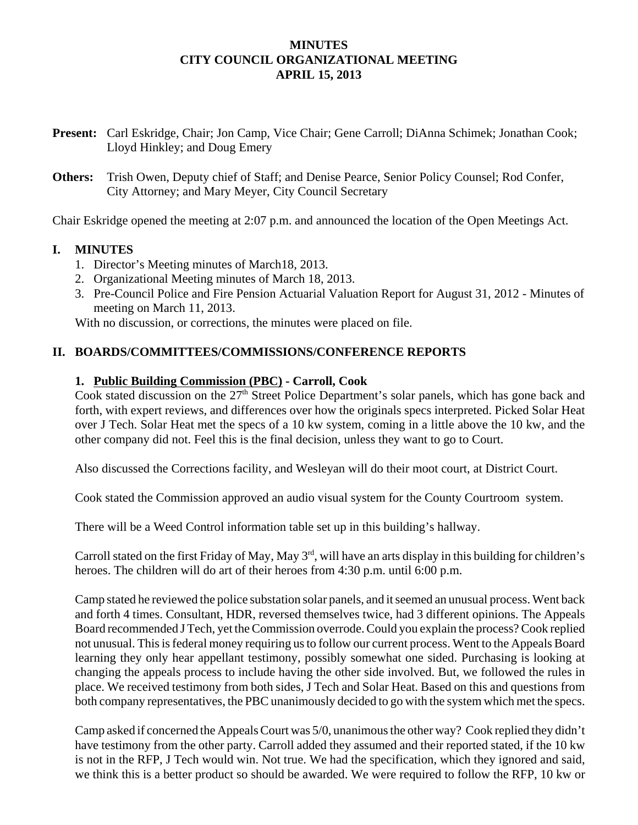### **MINUTES CITY COUNCIL ORGANIZATIONAL MEETING APRIL 15, 2013**

- **Present:** Carl Eskridge, Chair; Jon Camp, Vice Chair; Gene Carroll; DiAnna Schimek; Jonathan Cook; Lloyd Hinkley; and Doug Emery
- **Others:** Trish Owen, Deputy chief of Staff; and Denise Pearce, Senior Policy Counsel; Rod Confer, City Attorney; and Mary Meyer, City Council Secretary

Chair Eskridge opened the meeting at 2:07 p.m. and announced the location of the Open Meetings Act.

## **I. MINUTES**

- 1. Director's Meeting minutes of March18, 2013.
- 2. Organizational Meeting minutes of March 18, 2013.
- 3. Pre-Council Police and Fire Pension Actuarial Valuation Report for August 31, 2012 Minutes of meeting on March 11, 2013.

With no discussion, or corrections, the minutes were placed on file.

## **II. BOARDS/COMMITTEES/COMMISSIONS/CONFERENCE REPORTS**

## **1. Public Building Commission (PBC) - Carroll, Cook**

Cook stated discussion on the  $27<sup>th</sup>$  Street Police Department's solar panels, which has gone back and forth, with expert reviews, and differences over how the originals specs interpreted. Picked Solar Heat over J Tech. Solar Heat met the specs of a 10 kw system, coming in a little above the 10 kw, and the other company did not. Feel this is the final decision, unless they want to go to Court.

Also discussed the Corrections facility, and Wesleyan will do their moot court, at District Court.

Cook stated the Commission approved an audio visual system for the County Courtroom system.

There will be a Weed Control information table set up in this building's hallway.

Carroll stated on the first Friday of May, May 3rd, will have an arts display in this building for children's heroes. The children will do art of their heroes from 4:30 p.m. until 6:00 p.m.

Camp stated he reviewed the police substation solar panels, and it seemed an unusual process. Went back and forth 4 times. Consultant, HDR, reversed themselves twice, had 3 different opinions. The Appeals Board recommended J Tech, yet the Commission overrode. Could you explain the process? Cook replied not unusual. This is federal money requiring us to follow our current process. Went to the Appeals Board learning they only hear appellant testimony, possibly somewhat one sided. Purchasing is looking at changing the appeals process to include having the other side involved. But, we followed the rules in place. We received testimony from both sides, J Tech and Solar Heat. Based on this and questions from both company representatives, the PBC unanimously decided to go with the system which met the specs.

Camp asked if concerned the Appeals Court was 5/0, unanimous the other way? Cook replied they didn't have testimony from the other party. Carroll added they assumed and their reported stated, if the 10 kw is not in the RFP, J Tech would win. Not true. We had the specification, which they ignored and said, we think this is a better product so should be awarded. We were required to follow the RFP, 10 kw or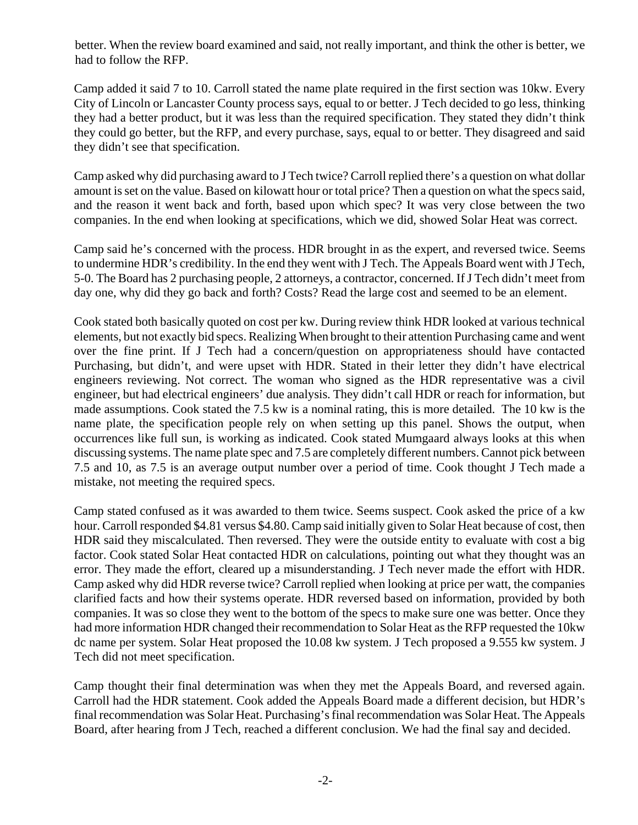better. When the review board examined and said, not really important, and think the other is better, we had to follow the RFP.

Camp added it said 7 to 10. Carroll stated the name plate required in the first section was 10kw. Every City of Lincoln or Lancaster County process says, equal to or better. J Tech decided to go less, thinking they had a better product, but it was less than the required specification. They stated they didn't think they could go better, but the RFP, and every purchase, says, equal to or better. They disagreed and said they didn't see that specification.

Camp asked why did purchasing award to J Tech twice? Carroll replied there's a question on what dollar amount is set on the value. Based on kilowatt hour or total price? Then a question on what the specs said, and the reason it went back and forth, based upon which spec? It was very close between the two companies. In the end when looking at specifications, which we did, showed Solar Heat was correct.

Camp said he's concerned with the process. HDR brought in as the expert, and reversed twice. Seems to undermine HDR's credibility. In the end they went with J Tech. The Appeals Board went with J Tech, 5-0. The Board has 2 purchasing people, 2 attorneys, a contractor, concerned. If J Tech didn't meet from day one, why did they go back and forth? Costs? Read the large cost and seemed to be an element.

Cook stated both basically quoted on cost per kw. During review think HDR looked at various technical elements, but not exactly bid specs. Realizing When brought to their attention Purchasing came and went over the fine print. If J Tech had a concern/question on appropriateness should have contacted Purchasing, but didn't, and were upset with HDR. Stated in their letter they didn't have electrical engineers reviewing. Not correct. The woman who signed as the HDR representative was a civil engineer, but had electrical engineers' due analysis. They didn't call HDR or reach for information, but made assumptions. Cook stated the 7.5 kw is a nominal rating, this is more detailed. The 10 kw is the name plate, the specification people rely on when setting up this panel. Shows the output, when occurrences like full sun, is working as indicated. Cook stated Mumgaard always looks at this when discussing systems. The name plate spec and 7.5 are completely different numbers. Cannot pick between 7.5 and 10, as 7.5 is an average output number over a period of time. Cook thought J Tech made a mistake, not meeting the required specs.

Camp stated confused as it was awarded to them twice. Seems suspect. Cook asked the price of a kw hour. Carroll responded \$4.81 versus \$4.80. Camp said initially given to Solar Heat because of cost, then HDR said they miscalculated. Then reversed. They were the outside entity to evaluate with cost a big factor. Cook stated Solar Heat contacted HDR on calculations, pointing out what they thought was an error. They made the effort, cleared up a misunderstanding. J Tech never made the effort with HDR. Camp asked why did HDR reverse twice? Carroll replied when looking at price per watt, the companies clarified facts and how their systems operate. HDR reversed based on information, provided by both companies. It was so close they went to the bottom of the specs to make sure one was better. Once they had more information HDR changed their recommendation to Solar Heat as the RFP requested the 10kw dc name per system. Solar Heat proposed the 10.08 kw system. J Tech proposed a 9.555 kw system. J Tech did not meet specification.

Camp thought their final determination was when they met the Appeals Board, and reversed again. Carroll had the HDR statement. Cook added the Appeals Board made a different decision, but HDR's final recommendation was Solar Heat. Purchasing's final recommendation was Solar Heat. The Appeals Board, after hearing from J Tech, reached a different conclusion. We had the final say and decided.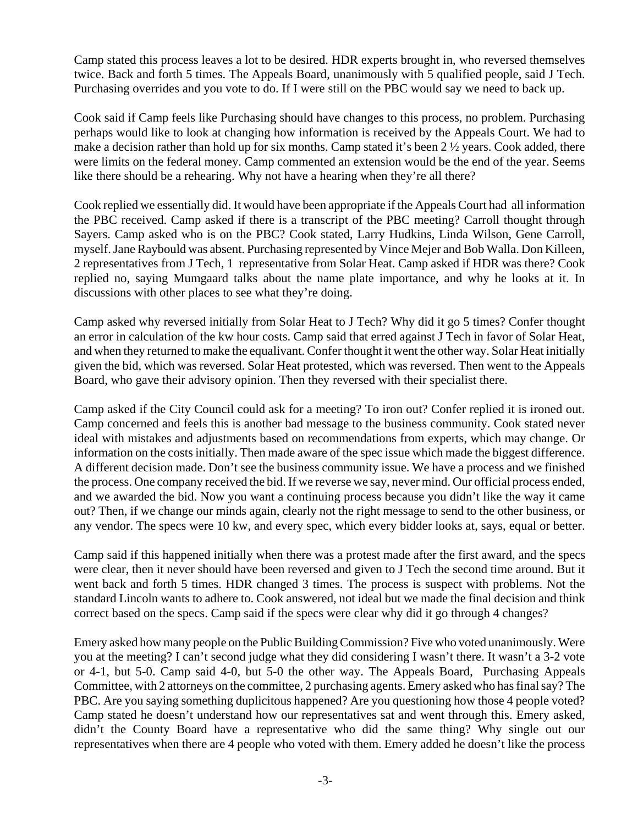Camp stated this process leaves a lot to be desired. HDR experts brought in, who reversed themselves twice. Back and forth 5 times. The Appeals Board, unanimously with 5 qualified people, said J Tech. Purchasing overrides and you vote to do. If I were still on the PBC would say we need to back up.

Cook said if Camp feels like Purchasing should have changes to this process, no problem. Purchasing perhaps would like to look at changing how information is received by the Appeals Court. We had to make a decision rather than hold up for six months. Camp stated it's been 2  $\frac{1}{2}$  years. Cook added, there were limits on the federal money. Camp commented an extension would be the end of the year. Seems like there should be a rehearing. Why not have a hearing when they're all there?

Cook replied we essentially did. It would have been appropriate if the Appeals Court had all information the PBC received. Camp asked if there is a transcript of the PBC meeting? Carroll thought through Sayers. Camp asked who is on the PBC? Cook stated, Larry Hudkins, Linda Wilson, Gene Carroll, myself. Jane Raybould was absent. Purchasing represented by Vince Mejer and Bob Walla. Don Killeen, 2 representatives from J Tech, 1 representative from Solar Heat. Camp asked if HDR was there? Cook replied no, saying Mumgaard talks about the name plate importance, and why he looks at it. In discussions with other places to see what they're doing.

Camp asked why reversed initially from Solar Heat to J Tech? Why did it go 5 times? Confer thought an error in calculation of the kw hour costs. Camp said that erred against J Tech in favor of Solar Heat, and when they returned to make the equalivant. Confer thought it went the other way. Solar Heat initially given the bid, which was reversed. Solar Heat protested, which was reversed. Then went to the Appeals Board, who gave their advisory opinion. Then they reversed with their specialist there.

Camp asked if the City Council could ask for a meeting? To iron out? Confer replied it is ironed out. Camp concerned and feels this is another bad message to the business community. Cook stated never ideal with mistakes and adjustments based on recommendations from experts, which may change. Or information on the costs initially. Then made aware of the spec issue which made the biggest difference. A different decision made. Don't see the business community issue. We have a process and we finished the process. One company received the bid. If we reverse we say, never mind. Our official process ended, and we awarded the bid. Now you want a continuing process because you didn't like the way it came out? Then, if we change our minds again, clearly not the right message to send to the other business, or any vendor. The specs were 10 kw, and every spec, which every bidder looks at, says, equal or better.

Camp said if this happened initially when there was a protest made after the first award, and the specs were clear, then it never should have been reversed and given to J Tech the second time around. But it went back and forth 5 times. HDR changed 3 times. The process is suspect with problems. Not the standard Lincoln wants to adhere to. Cook answered, not ideal but we made the final decision and think correct based on the specs. Camp said if the specs were clear why did it go through 4 changes?

Emery asked how many people on the Public Building Commission? Five who voted unanimously. Were you at the meeting? I can't second judge what they did considering I wasn't there. It wasn't a 3-2 vote or 4-1, but 5-0. Camp said 4-0, but 5-0 the other way. The Appeals Board, Purchasing Appeals Committee, with 2 attorneys on the committee, 2 purchasing agents. Emery asked who has final say? The PBC. Are you saying something duplicitous happened? Are you questioning how those 4 people voted? Camp stated he doesn't understand how our representatives sat and went through this. Emery asked, didn't the County Board have a representative who did the same thing? Why single out our representatives when there are 4 people who voted with them. Emery added he doesn't like the process